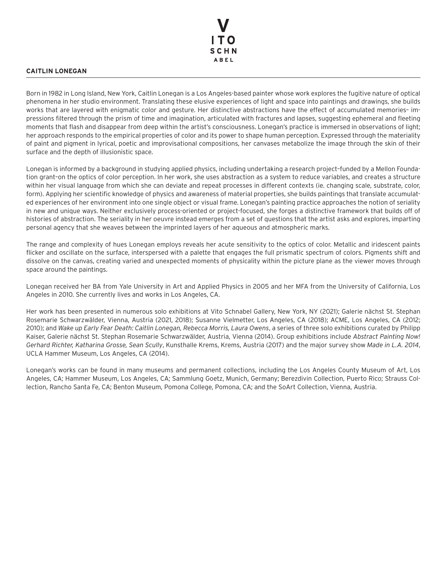

## **CAITLIN LONEGAN**

Born in 1982 in Long Island, New York, Caitlin Lonegan is a Los Angeles-based painter whose work explores the fugitive nature of optical phenomena in her studio environment. Translating these elusive experiences of light and space into paintings and drawings, she builds works that are layered with enigmatic color and gesture. Her distinctive abstractions have the effect of accumulated memories– impressions filtered through the prism of time and imagination, articulated with fractures and lapses, suggesting ephemeral and fleeting moments that flash and disappear from deep within the artist's consciousness. Lonegan's practice is immersed in observations of light; her approach responds to the empirical properties of color and its power to shape human perception. Expressed through the materiality of paint and pigment in lyrical, poetic and improvisational compositions, her canvases metabolize the image through the skin of their surface and the depth of illusionistic space.

Lonegan is informed by a background in studying applied physics, including undertaking a research project–funded by a Mellon Foundation grant–on the optics of color perception. In her work, she uses abstraction as a system to reduce variables, and creates a structure within her visual language from which she can deviate and repeat processes in different contexts (ie. changing scale, substrate, color, form). Applying her scientific knowledge of physics and awareness of material properties, she builds paintings that translate accumulated experiences of her environment into one single object or visual frame. Lonegan's painting practice approaches the notion of seriality in new and unique ways. Neither exclusively process-oriented or project-focused, she forges a distinctive framework that builds off of histories of abstraction. The seriality in her oeuvre instead emerges from a set of questions that the artist asks and explores, imparting personal agency that she weaves between the imprinted layers of her aqueous and atmospheric marks.

The range and complexity of hues Lonegan employs reveals her acute sensitivity to the optics of color. Metallic and iridescent paints flicker and oscillate on the surface, interspersed with a palette that engages the full prismatic spectrum of colors. Pigments shift and dissolve on the canvas, creating varied and unexpected moments of physicality within the picture plane as the viewer moves through space around the paintings.

Lonegan received her BA from Yale University in Art and Applied Physics in 2005 and her MFA from the University of California, Los Angeles in 2010. She currently lives and works in Los Angeles, CA.

Her work has been presented in numerous solo exhibitions at Vito Schnabel Gallery, New York, NY (2021); Galerie nächst St. Stephan Rosemarie Schwarzwälder, Vienna, Austria (2021, 2018); Susanne Vielmetter, Los Angeles, CA (2018); ACME, Los Angeles, CA (2012; 2010); and *Wake up Early Fear Death: Caitlin Lonegan, Rebecca Morris, Laura Owens*, a series of three solo exhibitions curated by Philipp Kaiser, Galerie nächst St. Stephan Rosemarie Schwarzwälder, Austria, Vienna (2014). Group exhibitions include *Abstract Painting Now! Gerhard Richter, Katharina Grosse, Sean Scully*, Kunsthalle Krems, Krems, Austria (2017) and the major survey show *Made in L.A. 2014*, UCLA Hammer Museum, Los Angeles, CA (2014).

Lonegan's works can be found in many museums and permanent collections, including the Los Angeles County Museum of Art, Los Angeles, CA; Hammer Museum, Los Angeles, CA; Sammlung Goetz, Munich, Germany; Berezdivin Collection, Puerto Rico; Strauss Collection, Rancho Santa Fe, CA; Benton Museum, Pomona College, Pomona, CA; and the SoArt Collection, Vienna, Austria.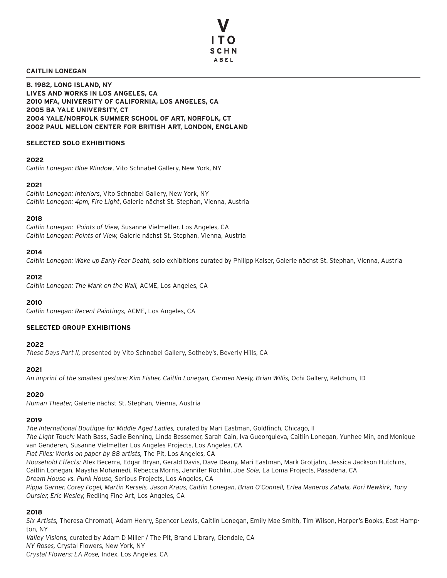

## **CAITLIN LONEGAN**

**B. 1982, LONG ISLAND, NY LIVES AND WORKS IN LOS ANGELES, CA 2010 MFA, UNIVERSITY OF CALIFORNIA, LOS ANGELES, CA 2005 BA YALE UNIVERSITY, CT 2004 YALE/NORFOLK SUMMER SCHOOL OF ART, NORFOLK, CT 2002 PAUL MELLON CENTER FOR BRITISH ART, LONDON, ENGLAND**

## **SELECTED SOLO EXHIBITIONS**

## **2022**

*Caitlin Lonegan: Blue Window*, Vito Schnabel Gallery, New York, NY

# **2021**

*Caitlin Lonegan: Interiors*, Vito Schnabel Gallery, New York, NY *Caitlin Lonegan: 4pm, Fire Light*, Galerie nächst St. Stephan, Vienna, Austria

# **2018**

*Caitlin Lonegan: Points of View,* Susanne Vielmetter, Los Angeles, CA *Caitlin Lonegan: Points of View,* Galerie nächst St. Stephan, Vienna, Austria

# **2014**

*Caitlin Lonegan: Wake up Early Fear Death,* solo exhibitions curated by Philipp Kaiser, Galerie nächst St. Stephan, Vienna, Austria

# **2012**

*Caitlin Lonegan: The Mark on the Wall,* ACME, Los Angeles, CA

# **2010**

*Caitlin Lonegan: Recent Paintings,* ACME, Los Angeles, CA

# **SELECTED GROUP EXHIBITIONS**

## **2022**

*These Days Part II,* presented by Vito Schnabel Gallery, Sotheby's, Beverly Hills, CA

## **2021**

*An imprint of the smallest gesture: Kim Fisher, Caitlin Lonegan, Carmen Neely, Brian Willis,* Ochi Gallery, Ketchum, ID

## **2020**

*Human Theater,* Galerie nächst St. Stephan, Vienna, Austria

## **2019**

*The International Boutique for Middle Aged Ladies,* curated by Mari Eastman, Goldfinch, Chicago, Il *The Light Touch:* Math Bass, Sadie Benning, Linda Bessemer, Sarah Cain, Iva Gueorguieva, Caitlin Lonegan, Yunhee Min, and Monique van Genderen, Susanne Vielmetter Los Angeles Projects, Los Angeles, CA *Flat Files: Works on paper by 88 artists,* The Pit, Los Angeles, CA *Household Effects:* Alex Becerra, Edgar Bryan, Gerald Davis, Dave Deany, Mari Eastman, Mark Grotjahn, Jessica Jackson Hutchins, Caitlin Lonegan, Maysha Mohamedi, Rebecca Morris, Jennifer Rochlin, *Joe Sola,* La Loma Projects, Pasadena, CA *Dream House vs. Punk House,* Serious Projects, Los Angeles, CA *Pippa Garner, Corey Fogel, Martin Kersels, Jason Kraus, Caitlin Lonegan, Brian O'Connell, Erlea Maneros Zabala, Kori Newkirk, Tony* 

*Oursler, Eric Wesley,* Redling Fine Art, Los Angeles, CA

# **2018**

*Six Artists,* Theresa Chromati, Adam Henry, Spencer Lewis, Caitlin Lonegan, Emily Mae Smith, Tim Wilson, Harper's Books, East Hampton, NY

*Valley Visions,* curated by Adam D Miller / The Pit, Brand Library, Glendale, CA *NY Roses,* Crystal Flowers, New York, NY *Crystal Flowers: LA Rose,* Index, Los Angeles, CA